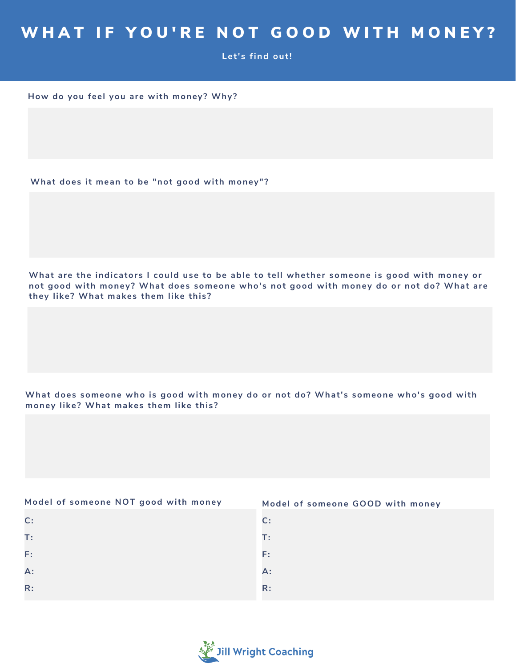## WHAT IF YOU'RE NOT GOOD WITH MONEY?

**Let's find out!**

**How do you feel you are with money? Why?**

**What does it mean to be "not good with money" ?**

What are the indicators I could use to be able to tell whether someone is good with money or **not good with money? What does someone who's not good with money do or not do? What are they like? What makes them like this?**

**What does someone who is good with money do or not do? What's someone who's good with money like? What makes them like this?**